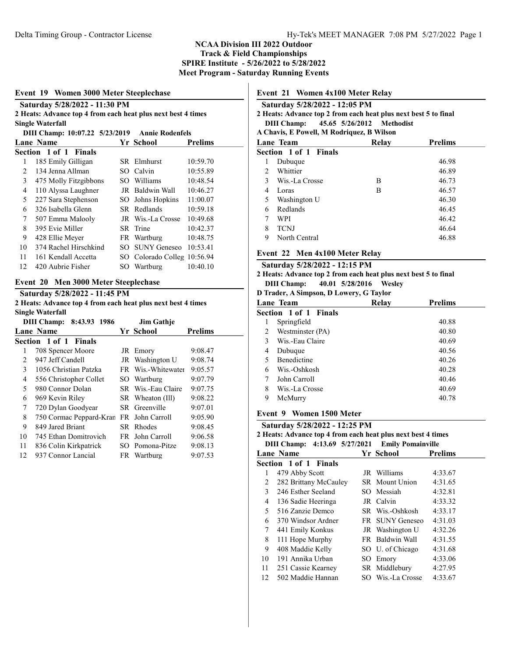#### Event 19 Women 3000 Meter Steeplechase

|                                                          | Saturday 5/28/2022 - 11:30 PM                                |     |                             |                |  |  |  |  |
|----------------------------------------------------------|--------------------------------------------------------------|-----|-----------------------------|----------------|--|--|--|--|
|                                                          | 2 Heats: Advance top 4 from each heat plus next best 4 times |     |                             |                |  |  |  |  |
|                                                          | <b>Single Waterfall</b>                                      |     |                             |                |  |  |  |  |
| DIII Champ: 10:07.22 5/23/2019<br><b>Annie Rodenfels</b> |                                                              |     |                             |                |  |  |  |  |
|                                                          | <b>Lane Name</b>                                             |     | Yr School                   | <b>Prelims</b> |  |  |  |  |
|                                                          | Section 1 of 1 Finals                                        |     |                             |                |  |  |  |  |
| 1                                                        | 185 Emily Gilligan                                           |     | SR Elmhurst                 | 10:59.70       |  |  |  |  |
| 2                                                        | 134 Jenna Allman                                             |     | SO Calvin                   | 10:55.89       |  |  |  |  |
| 3                                                        | 475 Molly Fitzgibbons                                        |     | SO Williams                 | 10:48.54       |  |  |  |  |
| 4                                                        | 110 Alyssa Laughner                                          |     | JR Baldwin Wall             | 10:46.27       |  |  |  |  |
| 5                                                        | 227 Sara Stephenson                                          | SO. | Johns Hopkins               | 11:00.07       |  |  |  |  |
| 6                                                        | 326 Isabella Glenn                                           |     | SR Redlands                 | 10:59.18       |  |  |  |  |
| 7                                                        | 507 Emma Malooly                                             |     | JR Wis.-La Crosse           | 10:49.68       |  |  |  |  |
| 8                                                        | 395 Evie Miller                                              | SR  | Trine                       | 10:42.37       |  |  |  |  |
| 9                                                        | 428 Ellie Meyer                                              |     | FR Wartburg                 | 10:48.75       |  |  |  |  |
| 10                                                       | 374 Rachel Hirschkind                                        | SО  | <b>SUNY Geneseo</b>         | 10:53.41       |  |  |  |  |
| 11                                                       | 161 Kendall Accetta                                          |     | SO Colorado Colleg 10:56.94 |                |  |  |  |  |
| 12                                                       | 420 Aubrie Fisher                                            |     | SO Wartburg                 | 10:40.10       |  |  |  |  |
|                                                          |                                                              |     |                             |                |  |  |  |  |

## Event 20 Men 3000 Meter Steeplechase

#### Saturday 5/28/2022 - 11:45 PM

2 Heats: Advance top 4 from each heat plus next best 4 times Single Waterfall

| DIII Champ: 8:43.93 1986<br><b>Jim Gathje</b> |                         |  |                    |                |
|-----------------------------------------------|-------------------------|--|--------------------|----------------|
|                                               | Lane Name               |  | Yr School          | <b>Prelims</b> |
|                                               | Section 1 of 1 Finals   |  |                    |                |
| 1                                             | 708 Spencer Moore       |  | JR Emory           | 9:08.47        |
| 2                                             | 947 Jeff Candell        |  | JR Washington U    | 9:08.74        |
| 3                                             | 1056 Christian Patzka   |  | FR Wis.-Whitewater | 9:05.57        |
| 4                                             | 556 Christopher Collet  |  | SO Wartburg        | 9:07.79        |
| 5                                             | 980 Connor Dolan        |  | SR Wis.-Eau Claire | 9:07.75        |
| 6                                             | 969 Kevin Riley         |  | SR Wheaton (Ill)   | 9:08.22        |
| 7                                             | 720 Dylan Goodyear      |  | SR Greenville      | 9:07.01        |
| 8                                             | 750 Cormac Peppard-Kran |  | FR John Carroll    | 9:05.90        |
| 9                                             | 849 Jared Briant        |  | SR Rhodes          | 9:08.45        |
| 10                                            | 745 Ethan Domitrovich   |  | FR John Carroll    | 9:06.58        |
| 11                                            | 836 Colin Kirkpatrick   |  | SO Pomona-Pitze    | 9:08.13        |
| 12                                            | 937 Connor Lancial      |  | FR Wartburg        | 9:07.53        |

## Event 21 Women 4x100 Meter Relay

|                                                                 | Saturday 5/28/2022 - 12:05 PM             |       |                |  |  |  |  |
|-----------------------------------------------------------------|-------------------------------------------|-------|----------------|--|--|--|--|
| 2 Heats: Advance top 2 from each heat plus next best 5 to final |                                           |       |                |  |  |  |  |
|                                                                 | DIII Champ: 45.65 5/26/2012 Methodist     |       |                |  |  |  |  |
|                                                                 | A Chavis, E Powell, M Rodriquez, B Wilson |       |                |  |  |  |  |
|                                                                 | Lane Team                                 | Relay | <b>Prelims</b> |  |  |  |  |
|                                                                 | Section 1 of 1 Finals                     |       |                |  |  |  |  |
|                                                                 | Dubuque                                   |       | 46.98          |  |  |  |  |
| $2^{\circ}$                                                     | Whittier                                  |       | 46.89          |  |  |  |  |
| 3                                                               | Wis.-La Crosse                            | В     | 46.73          |  |  |  |  |
| 4                                                               | Loras                                     | В     | 46.57          |  |  |  |  |
| 5                                                               | Washington U                              |       | 46.30          |  |  |  |  |
| 6                                                               | Redlands                                  |       | 46.45          |  |  |  |  |

| $\sim$ | -----------     | .     |
|--------|-----------------|-------|
|        | 7 WPI           | 46.42 |
|        | 8 TCNJ          | 46.64 |
|        | 9 North Central | 46.88 |

#### Event 22 Men 4x100 Meter Relay

#### Saturday 5/28/2022 - 12:15 PM 2 Heats: Advance top 2 from each heat plus next best 5 to final DIII Champ: 40.01 5/28/2016 Wesley

D Trader, A Simpson, D Lowery, G Taylor

| Lane Team                    | Relay | <b>Prelims</b> |
|------------------------------|-------|----------------|
| <b>Section 1 of 1 Finals</b> |       |                |
| Springfield                  |       | 40.88          |
| Westminster (PA)<br>2        |       | 40.80          |
| Wis.-Eau Claire<br>3         |       | 40.69          |
| Dubuque<br>4                 |       | 40.56          |
| <b>Benedictine</b>           |       | 40.26          |
| Wis.-Oshkosh<br>6            |       | 40.28          |
| John Carroll                 |       | 40.46          |
| 8<br>Wis.-La Crosse          |       | 40.69          |
| 9<br>McMurry                 |       | 40.78          |
|                              |       |                |

#### Event 9 Women 1500 Meter

| Saturday 5/28/2022 - 12:25 PM                   |                                                              |  |                   |         |  |  |  |
|-------------------------------------------------|--------------------------------------------------------------|--|-------------------|---------|--|--|--|
|                                                 | 2 Heats: Advance top 4 from each heat plus next best 4 times |  |                   |         |  |  |  |
| DIII Champ: 4:13.69 5/27/2021 Emily Pomainville |                                                              |  |                   |         |  |  |  |
| Yr School<br><b>Prelims</b><br>Lane Name        |                                                              |  |                   |         |  |  |  |
|                                                 | Section 1 of 1 Finals                                        |  |                   |         |  |  |  |
| 1                                               | 479 Abby Scott                                               |  | JR Williams       | 4:33.67 |  |  |  |
| 2                                               | 282 Brittany McCauley                                        |  | SR Mount Union    | 4:31.65 |  |  |  |
| 3                                               | 246 Esther Seeland                                           |  | SO Messiah        | 4:32.81 |  |  |  |
| 4                                               | 136 Sadie Heeringa                                           |  | JR Calvin         | 4:33.32 |  |  |  |
| 5.                                              | 516 Zanzie Demco                                             |  | SR Wis.-Oshkosh   | 4:33.17 |  |  |  |
| 6                                               | 370 Windsor Ardner                                           |  | FR SUNY Geneseo   | 4:31.03 |  |  |  |
| 7                                               | 441 Emily Konkus                                             |  | JR Washington U   | 4:32.26 |  |  |  |
| 8                                               | 111 Hope Murphy                                              |  | FR Baldwin Wall   | 4:31.55 |  |  |  |
| 9                                               | 408 Maddie Kelly                                             |  | SO U. of Chicago  | 4:31.68 |  |  |  |
| 10                                              | 191 Annika Urban                                             |  | SO Emory          | 4:33.06 |  |  |  |
| 11                                              | 251 Cassie Kearney                                           |  | SR Middlebury     | 4:27.95 |  |  |  |
| 12                                              | 502 Maddie Hannan                                            |  | SO Wis.-La Crosse | 4:33.67 |  |  |  |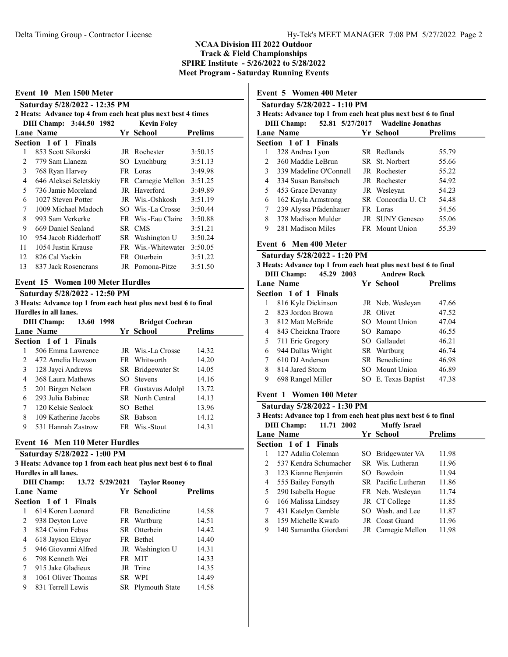| Event 10 Men 1500 Meter<br>Saturday 5/28/2022 - 12:35 PM<br>2 Heats: Advance top 4 from each heat plus next best 4 times |                       |      |                    |         |  |  |  |
|--------------------------------------------------------------------------------------------------------------------------|-----------------------|------|--------------------|---------|--|--|--|
| DIII Champ: 3:44.50 1982<br><b>Kevin Foley</b><br><b>Lane Name</b><br>Yr School<br><b>Prelims</b>                        |                       |      |                    |         |  |  |  |
|                                                                                                                          | Section 1 of 1 Finals |      |                    |         |  |  |  |
| 1                                                                                                                        | 853 Scott Sikorski    |      | JR Rochester       | 3:50.15 |  |  |  |
| $\mathfrak{D}$                                                                                                           | 779 Sam Llaneza       |      | SO Lynchburg       | 3:51.13 |  |  |  |
| $\mathfrak{Z}$                                                                                                           | 768 Ryan Harvey       |      | FR Loras           | 3:49.98 |  |  |  |
| 4                                                                                                                        | 646 Aleksei Seletskiy |      | FR Carnegie Mellon | 3:51.25 |  |  |  |
| 5                                                                                                                        | 736 Jamie Moreland    |      | JR Haverford       | 3:49.89 |  |  |  |
| 6                                                                                                                        | 1027 Steven Potter    |      | JR Wis.-Oshkosh    | 3:51.19 |  |  |  |
| 7                                                                                                                        | 1009 Michael Madoch   |      | SO Wis.-La Crosse  | 3:50.44 |  |  |  |
| 8                                                                                                                        | 993 Sam Verkerke      |      | FR Wis.-Eau Claire | 3:50.88 |  |  |  |
| 9                                                                                                                        | 669 Daniel Sealand    | SR - | <b>CMS</b>         | 3:51.21 |  |  |  |
| 10                                                                                                                       | 954 Jacob Ridderhoff  |      | SR Washington U    | 3:50.24 |  |  |  |
| 11                                                                                                                       | 1054 Justin Krause    |      | FR Wis.-Whitewater | 3:50.05 |  |  |  |
| 12                                                                                                                       | 826 Cal Yackin        |      | FR Otterbein       | 3:51.22 |  |  |  |
| 13                                                                                                                       | 837 Jack Rosencrans   |      | JR Pomona-Pitze    | 3:51.50 |  |  |  |

# Saturday 5/28/2022 - 12:50 PM

3 Heats: Advance top 1 from each heat plus next best 6 to final Hurdles in all lanes.

| <b>DIII</b> Champ:<br>13.60 1998 |                       | <b>Bridget Cochran</b>  |                |  |
|----------------------------------|-----------------------|-------------------------|----------------|--|
|                                  | Lane Name             | Yr School               | <b>Prelims</b> |  |
|                                  | Section 1 of 1 Finals |                         |                |  |
|                                  | 506 Emma Lawrence     | JR Wis.-La Crosse       | 14.32          |  |
| 2                                | 472 Amelia Hewson     | FR Whitworth            | 14.20          |  |
| 3                                | 128 Jayci Andrews     | SR Bridgewater St       | 14.05          |  |
| 4                                | 368 Laura Mathews     | SO Stevens              | 14.16          |  |
| 5                                | 201 Birgen Nelson     | FR Gustavus Adolph      | 13.72          |  |
| 6                                | 293 Julia Babinec     | <b>SR</b> North Central | 14.13          |  |
| 7                                | 120 Kelsie Sealock    | SO Bethel               | 13.96          |  |
| 8                                | 109 Katherine Jacobs  | SR Babson               | 14.12          |  |
| 9                                | 531 Hannah Zastrow    | FR Wis.-Stout           | 14.31          |  |

## Event 16 Men 110 Meter Hurdles

Saturday 5/28/2022 - 1:00 PM 3 Heats: Advance top 1 from each heat plus next best 6 to final Hurdles in all lanes.<br>DIII Champ: 1  $\overline{13.72}$  5/29/2021 Taylor R

|    | DIII Champ:                  | $13.72$ $3/29/2021$ avior Rooney |                |  |
|----|------------------------------|----------------------------------|----------------|--|
|    | <b>Lane Name</b>             | Yr School                        | <b>Prelims</b> |  |
|    | <b>Section 1 of 1 Finals</b> |                                  |                |  |
|    | 614 Koren Leonard            | <b>FR</b> Benedictine            | 14.58          |  |
| 2  | 938 Deyton Love              | FR Wartburg                      | 14.51          |  |
| 3  | 824 Cwinn Febus              | SR Otterbein                     | 14.42          |  |
| 4  | 618 Jayson Ekiyor            | FR Bethel                        | 14.40          |  |
| 5. | 946 Giovanni Alfred          | JR Washington U                  | 14.31          |  |
| 6  | 798 Kenneth Wei              | FR MIT                           | 14.33          |  |
|    | 915 Jake Gladieux            | JR Trine                         | 14.35          |  |
| 8  | 1061 Oliver Thomas           | SR WPI                           | 14.49          |  |
| 9  | 831 Terrell Lewis            | SR Plymouth State                | 14.58          |  |
|    |                              |                                  |                |  |

# Event 5 Women 400 Meter

| Saturday 5/28/2022 - 1:10 PM<br>3 Heats: Advance top 1 from each heat plus next best 6 to final<br>52.81 5/27/2017 Wadeline Jonathas<br><b>DIII Champ:</b> |                        |  |                       |                |  |  |  |
|------------------------------------------------------------------------------------------------------------------------------------------------------------|------------------------|--|-----------------------|----------------|--|--|--|
|                                                                                                                                                            | Lane Name              |  | Yr School             | <b>Prelims</b> |  |  |  |
|                                                                                                                                                            | Section 1 of 1 Finals  |  |                       |                |  |  |  |
| 1                                                                                                                                                          | 328 Andrea Lyon        |  | SR Redlands           | 55.79          |  |  |  |
| $2^{\circ}$                                                                                                                                                | 360 Maddie LeBrun      |  | SR St. Norbert        | 55.66          |  |  |  |
| 3                                                                                                                                                          | 339 Madeline O'Connell |  | JR Rochester          | 55.22          |  |  |  |
| 4                                                                                                                                                          | 334 Susan Bansbach     |  | JR Rochester          | 54.92          |  |  |  |
| 5                                                                                                                                                          | 453 Grace Devanny      |  | JR Weslevan           | 54.23          |  |  |  |
| 6                                                                                                                                                          | 162 Kayla Armstrong    |  | SR Concordia U. Ch    | 54.48          |  |  |  |
| 7                                                                                                                                                          | 239 Alyssa Pfadenhauer |  | FR Loras              | 54.56          |  |  |  |
| 8                                                                                                                                                          | 378 Madison Mulder     |  | JR SUNY Geneseo       | 55.06          |  |  |  |
| 9                                                                                                                                                          | 281 Madison Miles      |  | <b>FR</b> Mount Union | 55.39          |  |  |  |

#### Event 6 Men 400 Meter

| Saturday 5/28/2022 - 1:20 PM |
|------------------------------|
|------------------------------|

| 3 Heats: Advance top 1 from each heat plus next best 6 to final |  |  |           |                |  |  |  |
|-----------------------------------------------------------------|--|--|-----------|----------------|--|--|--|
| DIII Champ: 45.29 2003 Andrew Rock                              |  |  |           |                |  |  |  |
| Lane Name                                                       |  |  | Yr School | <b>Prelims</b> |  |  |  |
| Section 1 of 1 Finals                                           |  |  |           |                |  |  |  |
|                                                                 |  |  |           |                |  |  |  |

|   | 816 Kyle Dickinson  | JR Neb. Wesleyan    | 47.66 |
|---|---------------------|---------------------|-------|
| 2 | 823 Jordon Brown    | JR Olivet           | 47.52 |
| 3 | 812 Matt McBride    | SO Mount Union      | 47.04 |
| 4 | 843 Cheickna Traore | SO Ramapo           | 46.55 |
| 5 | 711 Eric Gregory    | SO Gallaudet        | 46.21 |
| 6 | 944 Dallas Wright   | SR Wartburg         | 46.74 |
|   | 610 DJ Anderson     | SR Benedictine      | 46.98 |
| 8 | 814 Jared Storm     | SO Mount Union      | 46.89 |
| 9 | 698 Rangel Miller   | SO E. Texas Baptist | 47.38 |
|   |                     |                     |       |

# Event 1 Women 100 Meter

| Saturday 5/28/2022 - 1:30 PM |                       |                       |  |                                                                                        |                |  |  |
|------------------------------|-----------------------|-----------------------|--|----------------------------------------------------------------------------------------|----------------|--|--|
|                              | <b>DIII Champ:</b>    | 11.71 2002            |  | 3 Heats: Advance top 1 from each heat plus next best 6 to final<br><b>Muffy Israel</b> |                |  |  |
|                              | <b>Lane Name</b>      |                       |  | Yr School                                                                              | <b>Prelims</b> |  |  |
|                              | Section 1 of 1 Finals |                       |  |                                                                                        |                |  |  |
|                              | 127 Adalia Coleman    |                       |  | SO Bridgewater VA                                                                      | 11.98          |  |  |
| 2                            |                       | 537 Kendra Schumacher |  | SR Wis. Lutheran                                                                       | 11.96          |  |  |
| 3                            | 123 Kianne Benjamin   |                       |  | SO Bowdoin                                                                             | 11.94          |  |  |
| 4                            | 555 Bailey Forsyth    |                       |  | SR Pacific Lutheran                                                                    | 11.86          |  |  |
| 5                            | 290 Isabella Hogue    |                       |  | FR Neb. Weslevan                                                                       | 11.74          |  |  |
| 6                            | 166 Malissa Lindsey   |                       |  | JR CT College                                                                          | 11.85          |  |  |
| 7                            | 431 Katelyn Gamble    |                       |  | SO Wash, and Lee                                                                       | 11.87          |  |  |
| 8                            | 159 Michelle Kwafo    |                       |  | JR Coast Guard                                                                         | 11.96          |  |  |
| 9                            |                       | 140 Samantha Giordani |  | JR Carnegie Mellon                                                                     | 11.98          |  |  |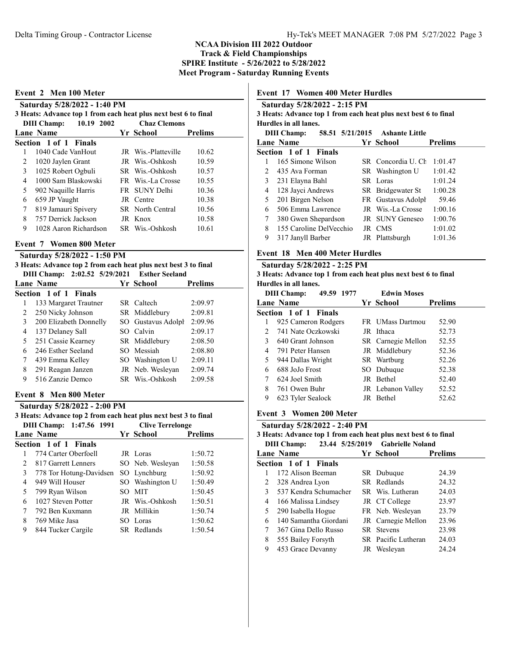| 3 Heats: Advance top 1 from each heat plus next best 6 to final<br>10.19 2002<br><b>Chaz Clemons</b><br><b>DIII</b> Champ: |                       |  |                     |                |  |  |
|----------------------------------------------------------------------------------------------------------------------------|-----------------------|--|---------------------|----------------|--|--|
|                                                                                                                            | Lane Name             |  | Yr School           | <b>Prelims</b> |  |  |
|                                                                                                                            | Section 1 of 1 Finals |  |                     |                |  |  |
| 1                                                                                                                          | 1040 Cade VanHout     |  | JR Wis.-Platteville | 10.62          |  |  |
| 2                                                                                                                          | 1020 Jaylen Grant     |  | JR Wis.-Oshkosh     | 10.59          |  |  |
| 3                                                                                                                          | 1025 Robert Ogbuli    |  | SR Wis.-Oshkosh     | 10.57          |  |  |
| 4                                                                                                                          | 1000 Sam Blaskowski   |  | FR Wis.-La Crosse   | 10.55          |  |  |
| 5                                                                                                                          | 902 Naquille Harris   |  | FR SUNY Delhi       | 10.36          |  |  |
| 6                                                                                                                          | 659 JP Vaught         |  | JR Centre           | 10.38          |  |  |
| 7                                                                                                                          | 819 Jamauri Spivery   |  | SR North Central    | 10.56          |  |  |
| 8                                                                                                                          | 757 Derrick Jackson   |  | JR Knox             | 10.58          |  |  |
| 9                                                                                                                          | 1028 Aaron Richardson |  | SR Wis.-Oshkosh     | 10.61          |  |  |

| 3 Heats: Advance top 2 from each heat plus next best 3 to final |  |           |                |
|-----------------------------------------------------------------|--|-----------|----------------|
| DIII Champ: 2:02.52 5/29/2021 Esther Seeland                    |  |           |                |
| Lane Name                                                       |  | Yr School | <b>Prelims</b> |
| $Cauchom 1 of 1 E in de$                                        |  |           |                |

|   | <b>Section 1 of 1 Finals</b> |                    |         |
|---|------------------------------|--------------------|---------|
|   | 133 Margaret Trautner        | SR Caltech         | 2:09.97 |
| 2 | 250 Nicky Johnson            | SR Middlebury      | 2:09.81 |
| 3 | 200 Elizabeth Donnelly       | SO Gustavus Adolph | 2:09.96 |
| 4 | 137 Delaney Sall             | SO Calvin          | 2:09.17 |
| 5 | 251 Cassie Kearney           | SR Middlebury      | 2:08.50 |
| 6 | 246 Esther Seeland           | SO Messiah         | 2:08.80 |
|   | 439 Emma Kelley              | SO Washington U    | 2:09.11 |
| 8 | 291 Reagan Janzen            | JR Neb. Wesleyan   | 2:09.74 |
| 9 | 516 Zanzie Demco             | SR Wis.-Oshkosh    | 2:09.58 |
|   |                              |                    |         |

#### Event 8 Men 800 Meter

### Saturday 5/28/2022 - 2:00 PM 3 Heats: Advance top 2 from each heat plus next best 3 to final DIII Champ: 1:47.56 1991 Clive Terrelonge Lane Name **Prelims Prelims** Section 1 of 1 Finals 1 774 Carter Oberfoell JR Loras 1:50.72 2 817 Garrett Lenners SO Neb. Wesleyan 1:50.58 3 778 Tor Hotung-Davidsen SO Lynchburg 1:50.92 4 949 Will Houser SO Washington U 1:50.49 5 799 Ryan Wilson SO MIT 1:50.45 6 1027 Steven Potter JR Wis.-Oshkosh 1:50.51 7 792 Ben Kuxmann JR Millikin 1:50.74 8 769 Mike Jasa SO Loras 1:50.62 9 844 Tucker Cargile SR Redlands 1:50.54

### Event 17 Women 400 Meter Hurdles

| Saturday 5/28/2022 - 2:15 PM<br>3 Heats: Advance top 1 from each heat plus next best 6 to final |                                                                               |  |                    |                |  |  |  |  |  |
|-------------------------------------------------------------------------------------------------|-------------------------------------------------------------------------------|--|--------------------|----------------|--|--|--|--|--|
|                                                                                                 | Hurdles in all lanes.<br>58.51 5/21/2015 Ashante Little<br><b>DIII Champ:</b> |  |                    |                |  |  |  |  |  |
|                                                                                                 | <b>Lane Name</b>                                                              |  | Yr School          | <b>Prelims</b> |  |  |  |  |  |
|                                                                                                 | Section 1 of 1 Finals                                                         |  |                    |                |  |  |  |  |  |
|                                                                                                 | 165 Simone Wilson                                                             |  | SR Concordia U. Ch | 1:01.47        |  |  |  |  |  |
| 2                                                                                               | 435 Ava Forman                                                                |  | SR Washington U    | 1:01.42        |  |  |  |  |  |
| 3                                                                                               | 231 Elayna Bahl                                                               |  | SR Loras           | 1:01.24        |  |  |  |  |  |
| 4                                                                                               | 128 Jayci Andrews                                                             |  | SR Bridgewater St  | 1:00.28        |  |  |  |  |  |
| 5                                                                                               | 201 Birgen Nelson                                                             |  | FR Gustavus Adolph | 59.46          |  |  |  |  |  |
| 6                                                                                               | 506 Emma Lawrence                                                             |  | JR Wis.-La Crosse  | 1:00.16        |  |  |  |  |  |
| 7                                                                                               | 380 Gwen Shepardson                                                           |  | JR SUNY Geneseo    | 1:00.76        |  |  |  |  |  |
| 8                                                                                               | 155 Caroline DelVecchio                                                       |  | JR CMS             | 1:01.02        |  |  |  |  |  |
| 9                                                                                               | 317 Janyll Barber                                                             |  | JR Plattsburgh     | 1:01.36        |  |  |  |  |  |

# Event 18 Men 400 Meter Hurdles

#### Saturday 5/28/2022 - 2:25 PM 3 Heats: Advance top 1 from each heat plus next best 6 to final Hurdles in all lanes.

|                | <b>DIII</b> Champ:<br>49.59 1977 |  | <b>Edwin Moses</b> |                |
|----------------|----------------------------------|--|--------------------|----------------|
|                | Lane Name                        |  | Yr School          | <b>Prelims</b> |
|                | Section 1 of 1 Finals            |  |                    |                |
|                | 925 Cameron Rodgers              |  | FR UMass Dartmou   | 52.90          |
| $\mathfrak{D}$ | 741 Nate Oczkowski               |  | JR Ithaca          | 52.73          |
| 3              | 640 Grant Johnson                |  | SR Carnegie Mellon | 52.55          |
| 4              | 791 Peter Hansen                 |  | JR Middlebury      | 52.36          |
| 5              | 944 Dallas Wright                |  | SR Wartburg        | 52.26          |
| 6              | 688 JoJo Frost                   |  | SO Dubuque         | 52.38          |
|                | 624 Joel Smith                   |  | JR Bethel          | 52.40          |
| 8              | 761 Owen Buhr                    |  | JR Lebanon Valley  | 52.52          |
| 9              | 623 Tyler Sealock                |  | JR Bethel          | 52.62          |

### Event 3 Women 200 Meter

| Saturday 5/28/2022 - 2:40 PM<br>3 Heats: Advance top 1 from each heat plus next best 6 to final |                                                        |  |                     |                |  |  |  |  |  |
|-------------------------------------------------------------------------------------------------|--------------------------------------------------------|--|---------------------|----------------|--|--|--|--|--|
|                                                                                                 | 23.44 5/25/2019 Gabrielle Noland<br><b>DIII</b> Champ: |  |                     |                |  |  |  |  |  |
|                                                                                                 | <b>Lane Name</b>                                       |  | Yr School           | <b>Prelims</b> |  |  |  |  |  |
|                                                                                                 | Section 1 of 1 Finals                                  |  |                     |                |  |  |  |  |  |
|                                                                                                 | 172 Alison Beeman                                      |  | SR Dubuque          | 24.39          |  |  |  |  |  |
| 2                                                                                               | 328 Andrea Lyon                                        |  | SR Redlands         | 24.32          |  |  |  |  |  |
| 3                                                                                               | 537 Kendra Schumacher                                  |  | SR Wis. Lutheran    | 24.03          |  |  |  |  |  |
| 4                                                                                               | 166 Malissa Lindsey                                    |  | JR CT College       | 23.97          |  |  |  |  |  |
| 5                                                                                               | 290 Isabella Hogue                                     |  | FR Neb. Weslevan    | 23.79          |  |  |  |  |  |
| 6                                                                                               | 140 Samantha Giordani                                  |  | JR Carnegie Mellon  | 23.96          |  |  |  |  |  |
| 7                                                                                               | 367 Gina Dello Russo                                   |  | SR Stevens          | 23.98          |  |  |  |  |  |
| 8                                                                                               | 555 Bailey Forsyth                                     |  | SR Pacific Lutheran | 24.03          |  |  |  |  |  |
| 9                                                                                               | 453 Grace Devanny                                      |  | JR Weslevan         | 24.24          |  |  |  |  |  |
|                                                                                                 |                                                        |  |                     |                |  |  |  |  |  |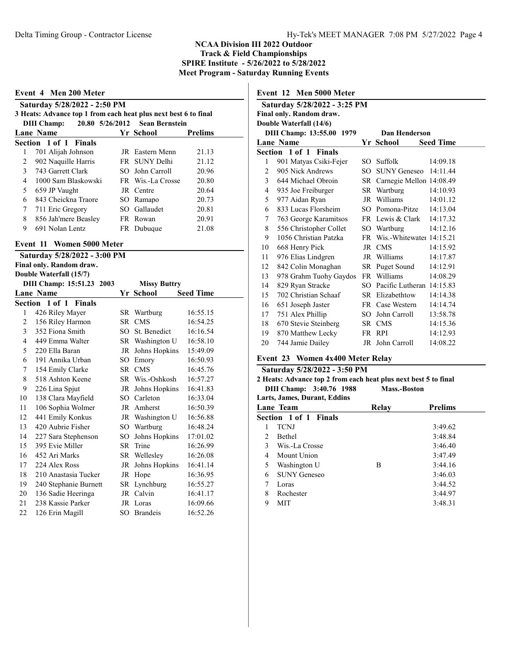|                | 3 Heats: Advance top 1 from each heat plus next best 6 to final<br><b>DIII Champ:</b> | 20.80 5/26/2012 Sean Bernstein |                |
|----------------|---------------------------------------------------------------------------------------|--------------------------------|----------------|
|                | Lane Name                                                                             | Yr School                      | <b>Prelims</b> |
|                | Section 1 of 1 Finals                                                                 |                                |                |
| 1              | 701 Alijah Johnson                                                                    | JR Eastern Menn                | 21.13          |
| 2              | 902 Naquille Harris                                                                   | FR SUNY Delhi                  | 21.12          |
| $\mathfrak{Z}$ | 743 Garrett Clark                                                                     | SO John Carroll                | 20.96          |
| 4              | 1000 Sam Blaskowski                                                                   | FR Wis.-La Crosse              | 20.80          |
| 5              | 659 JP Vaught                                                                         | JR Centre                      | 20.64          |
| 6              | 843 Cheickna Traore                                                                   | SO Ramapo                      | 20.73          |
| 7              | 711 Eric Gregory                                                                      | SO Gallaudet                   | 20.81          |
| 8              | 856 Jah'mere Beasley                                                                  | FR Rowan                       | 20.91          |
| 9              | 691 Nolan Lentz                                                                       | FR Dubuque                     | 21.08          |
|                | Event 11 Women 5000 Meter                                                             |                                |                |

| $1010 + 10011$        |                                        |              |                                                                                                                                                                                                                                                                              |  |  |  |  |
|-----------------------|----------------------------------------|--------------|------------------------------------------------------------------------------------------------------------------------------------------------------------------------------------------------------------------------------------------------------------------------------|--|--|--|--|
|                       |                                        |              |                                                                                                                                                                                                                                                                              |  |  |  |  |
|                       |                                        |              | <b>Seed Time</b>                                                                                                                                                                                                                                                             |  |  |  |  |
| Section 1 of 1 Finals |                                        |              |                                                                                                                                                                                                                                                                              |  |  |  |  |
| 426 Riley Mayer       |                                        |              | 16:55.15                                                                                                                                                                                                                                                                     |  |  |  |  |
| 156 Riley Harmon      |                                        | <b>CMS</b>   | 16:54.25                                                                                                                                                                                                                                                                     |  |  |  |  |
| 352 Fiona Smith       | SO.                                    | St. Benedict | 16:16.54                                                                                                                                                                                                                                                                     |  |  |  |  |
| 449 Emma Walter       | SR                                     |              | 16:58.10                                                                                                                                                                                                                                                                     |  |  |  |  |
| 220 Ella Baran        | JR                                     |              | 15:49.09                                                                                                                                                                                                                                                                     |  |  |  |  |
| 191 Annika Urban      | SO.                                    | Emory        | 16:50.93                                                                                                                                                                                                                                                                     |  |  |  |  |
| 154 Emily Clarke      |                                        | <b>CMS</b>   | 16:45.76                                                                                                                                                                                                                                                                     |  |  |  |  |
| 518 Ashton Keene      |                                        |              | 16:57.27                                                                                                                                                                                                                                                                     |  |  |  |  |
| 226 Lina Spjut        | JR                                     |              | 16:41.83                                                                                                                                                                                                                                                                     |  |  |  |  |
| 138 Clara Mayfield    | SO.                                    | Carleton     | 16:33.04                                                                                                                                                                                                                                                                     |  |  |  |  |
| 106 Sophia Wolmer     | JR                                     | Amherst      | 16:50.39                                                                                                                                                                                                                                                                     |  |  |  |  |
| 441 Emily Konkus      |                                        |              | 16:56.88                                                                                                                                                                                                                                                                     |  |  |  |  |
| 420 Aubrie Fisher     | SO                                     | Wartburg     | 16:48.24                                                                                                                                                                                                                                                                     |  |  |  |  |
| 227 Sara Stephenson   | SO                                     |              | 17:01.02                                                                                                                                                                                                                                                                     |  |  |  |  |
| 395 Evie Miller       | SR                                     | Trine        | 16:26.99                                                                                                                                                                                                                                                                     |  |  |  |  |
| 452 Ari Marks         |                                        |              | 16:26.08                                                                                                                                                                                                                                                                     |  |  |  |  |
| 224 Alex Ross         | JR                                     |              | 16:41.14                                                                                                                                                                                                                                                                     |  |  |  |  |
| 210 Anastasia Tucker  |                                        | Hope         | 16:36.95                                                                                                                                                                                                                                                                     |  |  |  |  |
| 240 Stephanie Burnett |                                        |              | 16:55.27                                                                                                                                                                                                                                                                     |  |  |  |  |
| 136 Sadie Heeringa    |                                        |              | 16:41.17                                                                                                                                                                                                                                                                     |  |  |  |  |
| 238 Kassie Parker     |                                        |              | 16:09.66                                                                                                                                                                                                                                                                     |  |  |  |  |
| 126 Erin Magill       | SO                                     |              | 16:52.26                                                                                                                                                                                                                                                                     |  |  |  |  |
|                       | DIII Champ: 15:51.23 2003<br>Lane Name |              | <b>Missy Buttry</b><br>Yr School<br>SR Wartburg<br>SR -<br>Washington U<br>Johns Hopkins<br>SR<br>SR Wis.-Oshkosh<br>Johns Hopkins<br>Washington U<br>JR<br>Johns Hopkins<br>SR Wellesley<br>Johns Hopkins<br>JR<br>SR Lynchburg<br>JR Calvin<br>JR Loras<br><b>Brandeis</b> |  |  |  |  |

## Event 12 Men 5000 Meter

| Saturday 5/28/2022 - 3:25 PM |                           |     |                              |                  |  |  |
|------------------------------|---------------------------|-----|------------------------------|------------------|--|--|
|                              | Final only. Random draw.  |     |                              |                  |  |  |
|                              | Double Waterfall (14/6)   |     |                              |                  |  |  |
|                              | DIII Champ: 13:55.00 1979 |     | Dan Henderson                |                  |  |  |
|                              | <b>Lane Name</b>          |     | Yr School                    | <b>Seed Time</b> |  |  |
|                              | Section 1 of 1 Finals     |     |                              |                  |  |  |
| 1                            | 901 Matyas Csiki-Fejer    |     | SO Suffolk                   | 14:09.18         |  |  |
| 2                            | 905 Nick Andrews          | SO. | <b>SUNY Geneseo</b>          | 14:11.44         |  |  |
| 3                            | 644 Michael Obroin        |     | SR Carnegie Mellon 14:08.49  |                  |  |  |
| 4                            | 935 Joe Freiburger        |     | SR Wartburg                  | 14:10.93         |  |  |
| 5                            | 977 Aidan Ryan            |     | JR Williams                  | 14:01.12         |  |  |
| 6                            | 833 Lucas Florsheim       |     | SO Pomona-Pitze              | 14:13.04         |  |  |
| 7                            | 763 George Karamitsos     |     | FR Lewis & Clark             | 14:17.32         |  |  |
| 8                            | 556 Christopher Collet    |     | SO Wartburg                  | 14:12.16         |  |  |
| 9                            | 1056 Christian Patzka     |     | FR Wis.-Whitewater 14:15.21  |                  |  |  |
| 10                           | 668 Henry Pick            | JR  | <b>CMS</b>                   | 14:15.92         |  |  |
| 11                           | 976 Elias Lindgren        |     | JR Williams                  | 14:17.87         |  |  |
| 12                           | 842 Colin Monaghan        |     | SR Puget Sound               | 14:12.91         |  |  |
| 13                           | 978 Grahm Tuohy Gaydos    |     | FR Williams                  | 14:08.29         |  |  |
| 14                           | 829 Ryan Stracke          |     | SO Pacific Lutheran 14:15.83 |                  |  |  |
| 15                           | 702 Christian Schaaf      |     | SR Elizabethtow              | 14:14.38         |  |  |
| 16                           | 651 Joseph Jaster         |     | FR Case Western              | 14:14.74         |  |  |
| 17                           | 751 Alex Phillip          |     | SO John Carroll              | 13:58.78         |  |  |
| 18                           | 670 Stevie Steinberg      |     | SR CMS                       | 14:15.36         |  |  |
| 19                           | 870 Matthew Lecky         |     | FR RPI                       | 14:12.93         |  |  |
| 20                           | 744 Jamie Dailey          |     | JR John Carroll              | 14:08.22         |  |  |

## Event 23 Women 4x400 Meter Relay

# Saturday 5/28/2022 - 3:50 PM

2 Heats: Advance top 2 from each heat plus next best 5 to final DIII Champ: 3:40.76 1988 Mass.-Boston

| Larts, James, Durant, Eddins           |       |                |  |
|----------------------------------------|-------|----------------|--|
| Lane Team                              | Relay | <b>Prelims</b> |  |
| Section 1 of 1 Finals                  |       |                |  |
| <b>TCNJ</b>                            |       | 3:49.62        |  |
| <b>Bethel</b><br>$\mathcal{D}_{\cdot}$ |       | 3:48.84        |  |
| 3<br>Wis.-La Crosse                    |       | 3:46.40        |  |
| Mount Union<br>4                       |       | 3:47.49        |  |
| Washington U<br>5                      | B     | 3:44.16        |  |
| <b>SUNY Geneseo</b><br>6               |       | 3:46.03        |  |
| Loras                                  |       | 3:44.52        |  |
| 8<br>Rochester                         |       | 3:44.97        |  |
| MIT<br>9                               |       | 3:48.31        |  |
|                                        |       |                |  |